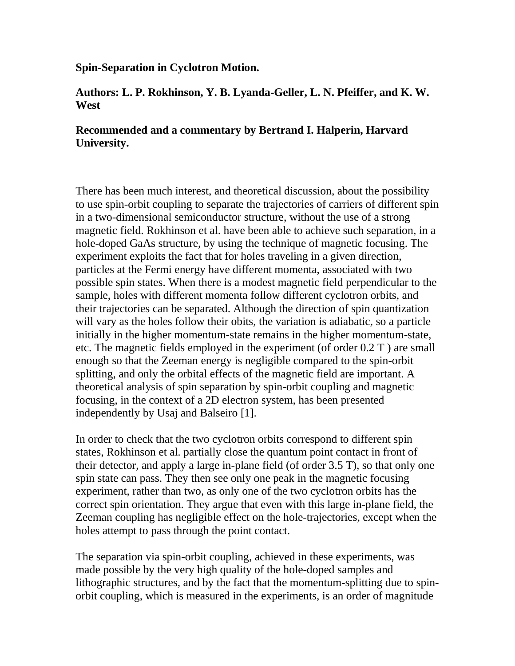## **Spin-Separation in Cyclotron Motion.**

## **Authors: L. P. Rokhinson, Y. B. Lyanda-Geller, L. N. Pfeiffer, and K. W. West**

## **Recommended and a commentary by Bertrand I. Halperin, Harvard University.**

There has been much interest, and theoretical discussion, about the possibility to use spin-orbit coupling to separate the trajectories of carriers of different spin in a two-dimensional semiconductor structure, without the use of a strong magnetic field. Rokhinson et al. have been able to achieve such separation, in a hole-doped GaAs structure, by using the technique of magnetic focusing. The experiment exploits the fact that for holes traveling in a given direction, particles at the Fermi energy have different momenta, associated with two possible spin states. When there is a modest magnetic field perpendicular to the sample, holes with different momenta follow different cyclotron orbits, and their trajectories can be separated. Although the direction of spin quantization will vary as the holes follow their obits, the variation is adiabatic, so a particle initially in the higher momentum-state remains in the higher momentum-state, etc. The magnetic fields employed in the experiment (of order 0.2 T ) are small enough so that the Zeeman energy is negligible compared to the spin-orbit splitting, and only the orbital effects of the magnetic field are important. A theoretical analysis of spin separation by spin-orbit coupling and magnetic focusing, in the context of a 2D electron system, has been presented independently by Usaj and Balseiro [1].

In order to check that the two cyclotron orbits correspond to different spin states, Rokhinson et al. partially close the quantum point contact in front of their detector, and apply a large in-plane field (of order 3.5 T), so that only one spin state can pass. They then see only one peak in the magnetic focusing experiment, rather than two, as only one of the two cyclotron orbits has the correct spin orientation. They argue that even with this large in-plane field, the Zeeman coupling has negligible effect on the hole-trajectories, except when the holes attempt to pass through the point contact.

The separation via spin-orbit coupling, achieved in these experiments, was made possible by the very high quality of the hole-doped samples and lithographic structures, and by the fact that the momentum-splitting due to spinorbit coupling, which is measured in the experiments, is an order of magnitude